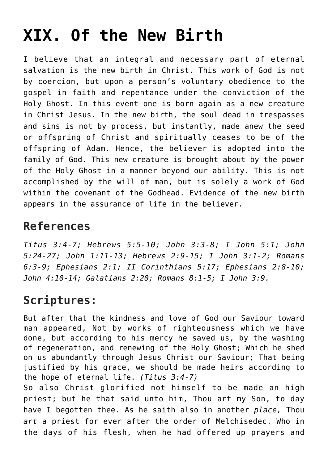## **[XIX. Of the New Birth](https://reproachofmen.org/statement-of-faith/xix-of-the-new-birth/)**

I believe that an integral and necessary part of eternal salvation is the new birth in Christ. This work of God is not by coercion, but upon a person's voluntary obedience to the gospel in faith and repentance under the conviction of the Holy Ghost. In this event one is born again as a new creature in Christ Jesus. In the new birth, the soul dead in trespasses and sins is not by process, but instantly, made anew the seed or offspring of Christ and spiritually ceases to be of the offspring of Adam. Hence, the believer is adopted into the family of God. This new creature is brought about by the power of the Holy Ghost in a manner beyond our ability. This is not accomplished by the will of man, but is solely a work of God within the covenant of the Godhead. Evidence of the new birth appears in the assurance of life in the believer.

## **References**

*Titus 3:4-7; Hebrews 5:5-10; John 3:3-8; I John 5:1; John 5:24-27; John 1:11-13; Hebrews 2:9-15; I John 3:1-2; Romans 6:3-9; Ephesians 2:1; II Corinthians 5:17; Ephesians 2:8-10; John 4:10-14; Galatians 2:20; Romans 8:1-5; I John 3:9.*

## **Scriptures:**

But after that the kindness and love of God our Saviour toward man appeared, Not by works of righteousness which we have done, but according to his mercy he saved us, by the washing of regeneration, and renewing of the Holy Ghost; Which he shed on us abundantly through Jesus Christ our Saviour; That being justified by his grace, we should be made heirs according to the hope of eternal life. *(Titus 3:4-7)* So also Christ glorified not himself to be made an high priest; but he that said unto him, Thou art my Son, to day

have I begotten thee. As he saith also in another *place,* Thou *art* a priest for ever after the order of Melchisedec. Who in the days of his flesh, when he had offered up prayers and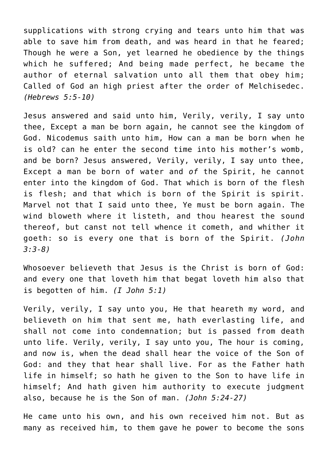supplications with strong crying and tears unto him that was able to save him from death, and was heard in that he feared; Though he were a Son, yet learned he obedience by the things which he suffered; And being made perfect, he became the author of eternal salvation unto all them that obey him; Called of God an high priest after the order of Melchisedec. *(Hebrews 5:5-10)*

Jesus answered and said unto him, Verily, verily, I say unto thee, Except a man be born again, he cannot see the kingdom of God. Nicodemus saith unto him, How can a man be born when he is old? can he enter the second time into his mother's womb, and be born? Jesus answered, Verily, verily, I say unto thee, Except a man be born of water and *of* the Spirit, he cannot enter into the kingdom of God. That which is born of the flesh is flesh; and that which is born of the Spirit is spirit. Marvel not that I said unto thee, Ye must be born again. The wind bloweth where it listeth, and thou hearest the sound thereof, but canst not tell whence it cometh, and whither it goeth: so is every one that is born of the Spirit. *(John 3:3-8)*

Whosoever believeth that Jesus is the Christ is born of God: and every one that loveth him that begat loveth him also that is begotten of him. *(I John 5:1)*

Verily, verily, I say unto you, He that heareth my word, and believeth on him that sent me, hath everlasting life, and shall not come into condemnation; but is passed from death unto life. Verily, verily, I say unto you, The hour is coming, and now is, when the dead shall hear the voice of the Son of God: and they that hear shall live. For as the Father hath life in himself; so hath he given to the Son to have life in himself; And hath given him authority to execute judgment also, because he is the Son of man. *(John 5:24-27)*

He came unto his own, and his own received him not. But as many as received him, to them gave he power to become the sons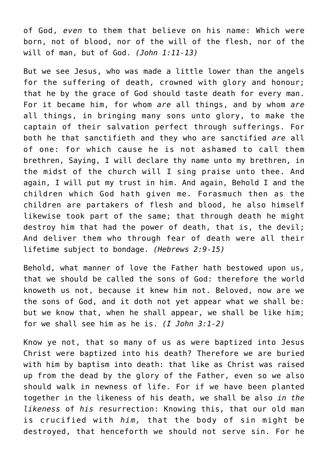of God, *even* to them that believe on his name: Which were born, not of blood, nor of the will of the flesh, nor of the will of man, but of God. *(John 1:11-13)*

But we see Jesus, who was made a little lower than the angels for the suffering of death, crowned with glory and honour; that he by the grace of God should taste death for every man. For it became him, for whom *are* all things, and by whom *are* all things, in bringing many sons unto glory, to make the captain of their salvation perfect through sufferings. For both he that sanctifieth and they who are sanctified *are* all of one: for which cause he is not ashamed to call them brethren, Saying, I will declare thy name unto my brethren, in the midst of the church will I sing praise unto thee. And again, I will put my trust in him. And again, Behold I and the children which God hath given me. Forasmuch then as the children are partakers of flesh and blood, he also himself likewise took part of the same; that through death he might destroy him that had the power of death, that is, the devil; And deliver them who through fear of death were all their lifetime subject to bondage. *(Hebrews 2:9-15)*

Behold, what manner of love the Father hath bestowed upon us, that we should be called the sons of God: therefore the world knoweth us not, because it knew him not. Beloved, now are we the sons of God, and it doth not yet appear what we shall be: but we know that, when he shall appear, we shall be like him; for we shall see him as he is. *(I John 3:1-2)*

Know ye not, that so many of us as were baptized into Jesus Christ were baptized into his death? Therefore we are buried with him by baptism into death: that like as Christ was raised up from the dead by the glory of the Father, even so we also should walk in newness of life. For if we have been planted together in the likeness of his death, we shall be also *in the likeness* of *his* resurrection: Knowing this, that our old man is crucified with *him,* that the body of sin might be destroyed, that henceforth we should not serve sin. For he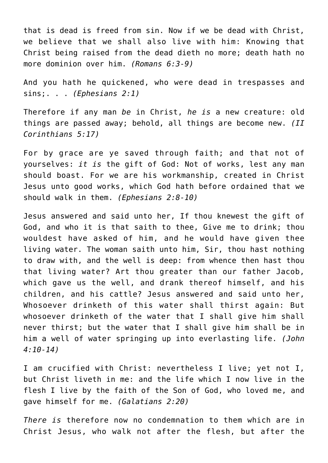that is dead is freed from sin. Now if we be dead with Christ, we believe that we shall also live with him: Knowing that Christ being raised from the dead dieth no more; death hath no more dominion over him. *(Romans 6:3-9)*

And you hath he quickened, who were dead in trespasses and sins;. . . *(Ephesians 2:1)*

Therefore if any man *be* in Christ, *he is* a new creature: old things are passed away; behold, all things are become new. *(II Corinthians 5:17)*

For by grace are ye saved through faith; and that not of yourselves: *it is* the gift of God: Not of works, lest any man should boast. For we are his workmanship, created in Christ Jesus unto good works, which God hath before ordained that we should walk in them. *(Ephesians 2:8-10)*

Jesus answered and said unto her, If thou knewest the gift of God, and who it is that saith to thee, Give me to drink; thou wouldest have asked of him, and he would have given thee living water. The woman saith unto him, Sir, thou hast nothing to draw with, and the well is deep: from whence then hast thou that living water? Art thou greater than our father Jacob, which gave us the well, and drank thereof himself, and his children, and his cattle? Jesus answered and said unto her, Whosoever drinketh of this water shall thirst again: But whosoever drinketh of the water that I shall give him shall never thirst; but the water that I shall give him shall be in him a well of water springing up into everlasting life. *(John 4:10-14)*

I am crucified with Christ: nevertheless I live; yet not I, but Christ liveth in me: and the life which I now live in the flesh I live by the faith of the Son of God, who loved me, and gave himself for me. *(Galatians 2:20)*

*There is* therefore now no condemnation to them which are in Christ Jesus, who walk not after the flesh, but after the